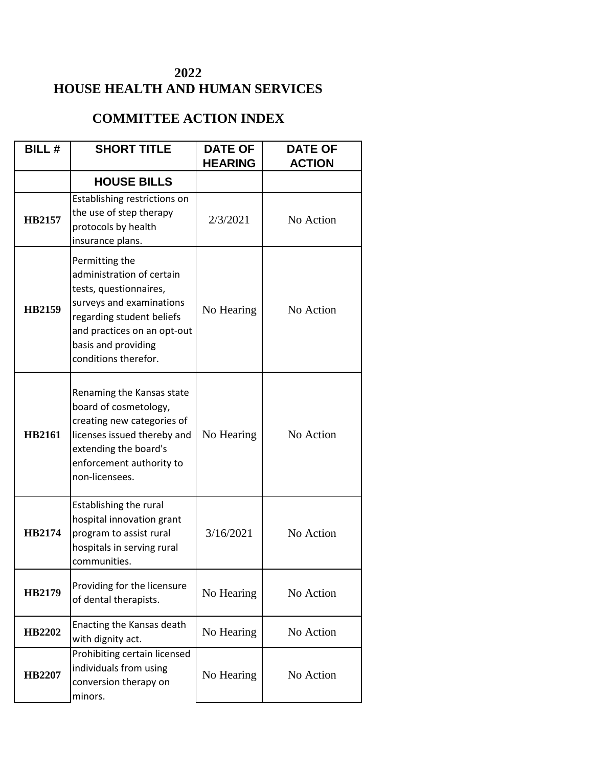## **2022 HOUSE HEALTH AND HUMAN SERVICES**

## **COMMITTEE ACTION INDEX**

| <b>BILL#</b>  | <b>SHORT TITLE</b>                                                                                                                                                                                           | <b>DATE OF</b> | <b>DATE OF</b> |
|---------------|--------------------------------------------------------------------------------------------------------------------------------------------------------------------------------------------------------------|----------------|----------------|
|               |                                                                                                                                                                                                              | <b>HEARING</b> | <b>ACTION</b>  |
|               | <b>HOUSE BILLS</b>                                                                                                                                                                                           |                |                |
| HB2157        | Establishing restrictions on<br>the use of step therapy<br>protocols by health<br>insurance plans.                                                                                                           | 2/3/2021       | No Action      |
| <b>HB2159</b> | Permitting the<br>administration of certain<br>tests, questionnaires,<br>surveys and examinations<br>regarding student beliefs<br>and practices on an opt-out<br>basis and providing<br>conditions therefor. | No Hearing     | No Action      |
| <b>HB2161</b> | Renaming the Kansas state<br>board of cosmetology,<br>creating new categories of<br>licenses issued thereby and<br>extending the board's<br>enforcement authority to<br>non-licensees.                       | No Hearing     | No Action      |
| HB2174        | <b>Establishing the rural</b><br>hospital innovation grant<br>program to assist rural<br>hospitals in serving rural<br>communities.                                                                          | 3/16/2021      | No Action      |
| HB2179        | Providing for the licensure<br>of dental therapists.                                                                                                                                                         | No Hearing     | No Action      |
| HB2202        | Enacting the Kansas death<br>with dignity act.                                                                                                                                                               | No Hearing     | No Action      |
| HB2207        | Prohibiting certain licensed<br>individuals from using<br>conversion therapy on<br>minors.                                                                                                                   | No Hearing     | No Action      |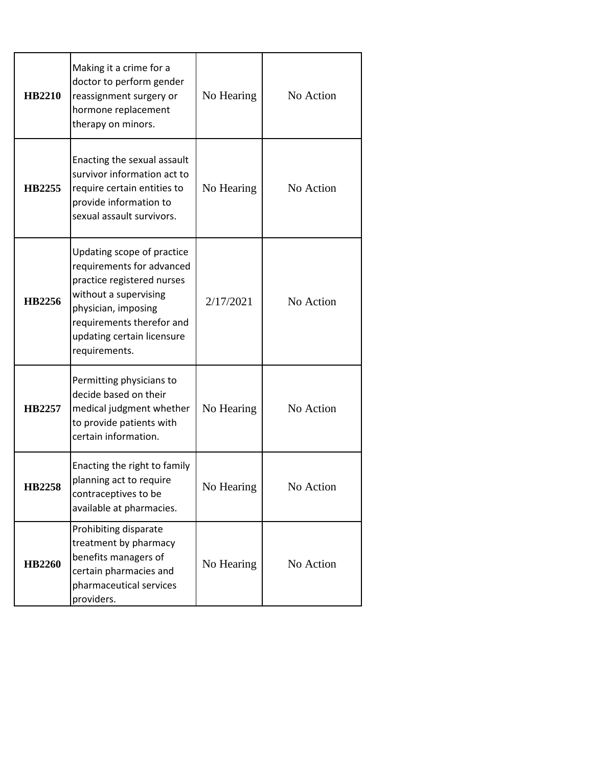| <b>HB2210</b> | Making it a crime for a<br>doctor to perform gender<br>reassignment surgery or<br>hormone replacement<br>therapy on minors.                                                                                       | No Hearing | No Action |
|---------------|-------------------------------------------------------------------------------------------------------------------------------------------------------------------------------------------------------------------|------------|-----------|
| HB2255        | Enacting the sexual assault<br>survivor information act to<br>require certain entities to<br>provide information to<br>sexual assault survivors.                                                                  | No Hearing | No Action |
| HB2256        | Updating scope of practice<br>requirements for advanced<br>practice registered nurses<br>without a supervising<br>physician, imposing<br>requirements therefor and<br>updating certain licensure<br>requirements. | 2/17/2021  | No Action |
| HB2257        | Permitting physicians to<br>decide based on their<br>medical judgment whether<br>to provide patients with<br>certain information.                                                                                 | No Hearing | No Action |
| HB2258        | Enacting the right to family<br>planning act to require<br>contraceptives to be<br>available at pharmacies.                                                                                                       | No Hearing | No Action |
| <b>HB2260</b> | Prohibiting disparate<br>treatment by pharmacy<br>benefits managers of<br>certain pharmacies and<br>pharmaceutical services<br>providers.                                                                         | No Hearing | No Action |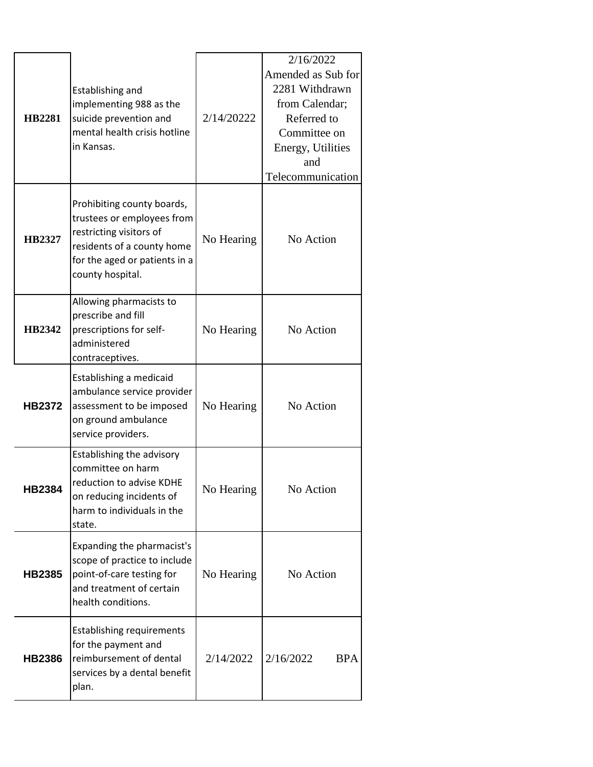| <b>HB2281</b> | Establishing and<br>implementing 988 as the<br>suicide prevention and<br>mental health crisis hotline<br>in Kansas.                                                    | 2/14/20222 | 2/16/2022<br>Amended as Sub for<br>2281 Withdrawn<br>from Calendar;<br>Referred to<br>Committee on<br>Energy, Utilities<br>and<br>Telecommunication |
|---------------|------------------------------------------------------------------------------------------------------------------------------------------------------------------------|------------|-----------------------------------------------------------------------------------------------------------------------------------------------------|
| <b>HB2327</b> | Prohibiting county boards,<br>trustees or employees from<br>restricting visitors of<br>residents of a county home<br>for the aged or patients in a<br>county hospital. | No Hearing | No Action                                                                                                                                           |
| <b>HB2342</b> | Allowing pharmacists to<br>prescribe and fill<br>prescriptions for self-<br>administered<br>contraceptives.                                                            | No Hearing | No Action                                                                                                                                           |
| <b>HB2372</b> | Establishing a medicaid<br>ambulance service provider<br>assessment to be imposed<br>on ground ambulance<br>service providers.                                         | No Hearing | No Action                                                                                                                                           |
| <b>HB2384</b> | Establishing the advisory<br>committee on harm<br>reduction to advise KDHE<br>on reducing incidents of<br>harm to individuals in the<br>state.                         | No Hearing | No Action                                                                                                                                           |
| <b>HB2385</b> | Expanding the pharmacist's<br>scope of practice to include<br>point-of-care testing for<br>and treatment of certain<br>health conditions.                              | No Hearing | No Action                                                                                                                                           |
| <b>HB2386</b> | <b>Establishing requirements</b><br>for the payment and<br>reimbursement of dental<br>services by a dental benefit<br>plan.                                            | 2/14/2022  | 2/16/2022<br><b>BPA</b>                                                                                                                             |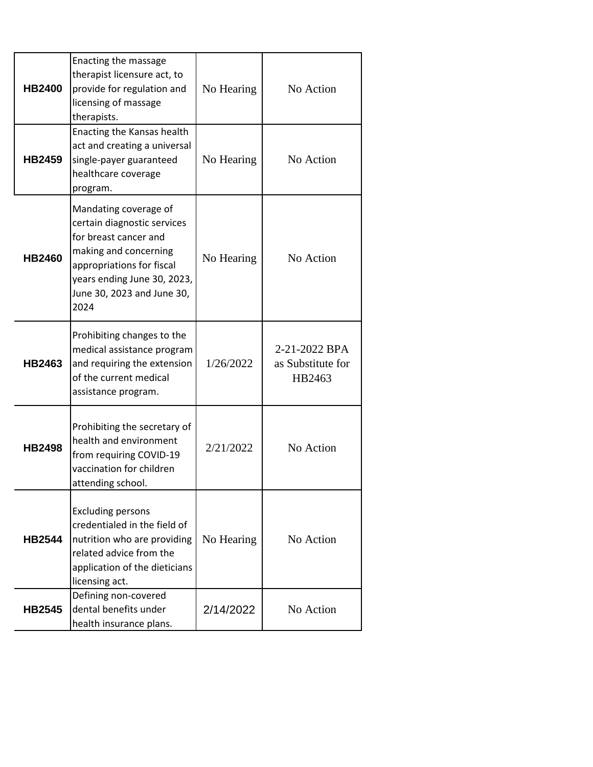| <b>HB2400</b> | Enacting the massage<br>therapist licensure act, to<br>provide for regulation and<br>licensing of massage<br>therapists.                                                                                 | No Hearing | No Action                                    |
|---------------|----------------------------------------------------------------------------------------------------------------------------------------------------------------------------------------------------------|------------|----------------------------------------------|
| <b>HB2459</b> | Enacting the Kansas health<br>act and creating a universal<br>single-payer guaranteed<br>healthcare coverage<br>program.                                                                                 | No Hearing | No Action                                    |
| <b>HB2460</b> | Mandating coverage of<br>certain diagnostic services<br>for breast cancer and<br>making and concerning<br>appropriations for fiscal<br>years ending June 30, 2023,<br>June 30, 2023 and June 30,<br>2024 | No Hearing | No Action                                    |
| HB2463        | Prohibiting changes to the<br>medical assistance program<br>and requiring the extension<br>of the current medical<br>assistance program.                                                                 | 1/26/2022  | 2-21-2022 BPA<br>as Substitute for<br>HB2463 |
| <b>HB2498</b> | Prohibiting the secretary of<br>health and environment<br>from requiring COVID-19<br>vaccination for children<br>attending school.                                                                       | 2/21/2022  | No Action                                    |
| <b>HB2544</b> | <b>Excluding persons</b><br>credentialed in the field of<br>nutrition who are providing<br>related advice from the<br>application of the dieticians<br>licensing act.                                    | No Hearing | No Action                                    |
| <b>HB2545</b> | Defining non-covered<br>dental benefits under<br>health insurance plans.                                                                                                                                 | 2/14/2022  | No Action                                    |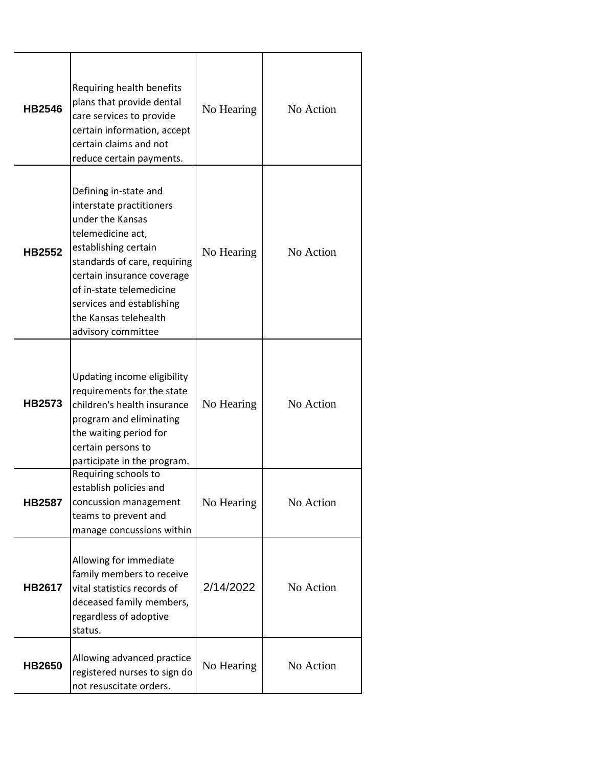| <b>HB2546</b> | Requiring health benefits<br>plans that provide dental<br>care services to provide<br>certain information, accept<br>certain claims and not<br>reduce certain payments.                                                                                                                  | No Hearing | No Action |
|---------------|------------------------------------------------------------------------------------------------------------------------------------------------------------------------------------------------------------------------------------------------------------------------------------------|------------|-----------|
| <b>HB2552</b> | Defining in-state and<br>interstate practitioners<br>under the Kansas<br>telemedicine act,<br>establishing certain<br>standards of care, requiring<br>certain insurance coverage<br>of in-state telemedicine<br>services and establishing<br>the Kansas telehealth<br>advisory committee | No Hearing | No Action |
| <b>HB2573</b> | Updating income eligibility<br>requirements for the state<br>children's health insurance<br>program and eliminating<br>the waiting period for<br>certain persons to<br>participate in the program.                                                                                       | No Hearing | No Action |
| <b>HB2587</b> | Requiring schools to<br>establish policies and<br>concussion management<br>teams to prevent and<br>manage concussions within                                                                                                                                                             | No Hearing | No Action |
| <b>HB2617</b> | Allowing for immediate<br>family members to receive<br>vital statistics records of<br>deceased family members,<br>regardless of adoptive<br>status.                                                                                                                                      | 2/14/2022  | No Action |
| <b>HB2650</b> | Allowing advanced practice<br>registered nurses to sign do<br>not resuscitate orders.                                                                                                                                                                                                    | No Hearing | No Action |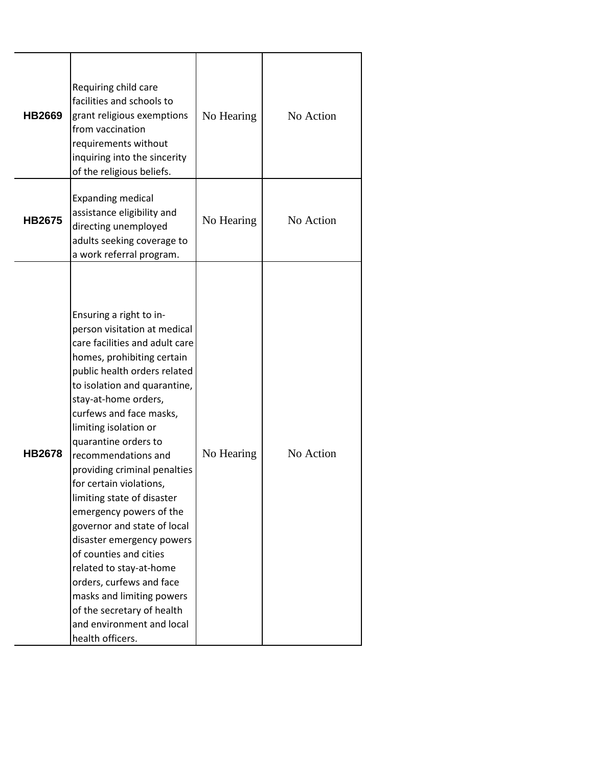| <b>HB2669</b> | Requiring child care<br>facilities and schools to<br>grant religious exemptions<br>from vaccination<br>requirements without<br>inquiring into the sincerity<br>of the religious beliefs.                                                                                                                                                                                                                                                                                                                                                                                                                                                                                                        | No Hearing | No Action |
|---------------|-------------------------------------------------------------------------------------------------------------------------------------------------------------------------------------------------------------------------------------------------------------------------------------------------------------------------------------------------------------------------------------------------------------------------------------------------------------------------------------------------------------------------------------------------------------------------------------------------------------------------------------------------------------------------------------------------|------------|-----------|
| <b>HB2675</b> | <b>Expanding medical</b><br>assistance eligibility and<br>directing unemployed<br>adults seeking coverage to<br>a work referral program.                                                                                                                                                                                                                                                                                                                                                                                                                                                                                                                                                        | No Hearing | No Action |
| <b>HB2678</b> | Ensuring a right to in-<br>person visitation at medical<br>care facilities and adult care<br>homes, prohibiting certain<br>public health orders related<br>to isolation and quarantine,<br>stay-at-home orders,<br>curfews and face masks,<br>limiting isolation or<br>quarantine orders to<br>recommendations and<br>providing criminal penalties<br>for certain violations,<br>limiting state of disaster<br>emergency powers of the<br>governor and state of local<br>disaster emergency powers<br>of counties and cities<br>related to stay-at-home<br>orders, curfews and face<br>masks and limiting powers<br>of the secretary of health<br>and environment and local<br>health officers. | No Hearing | No Action |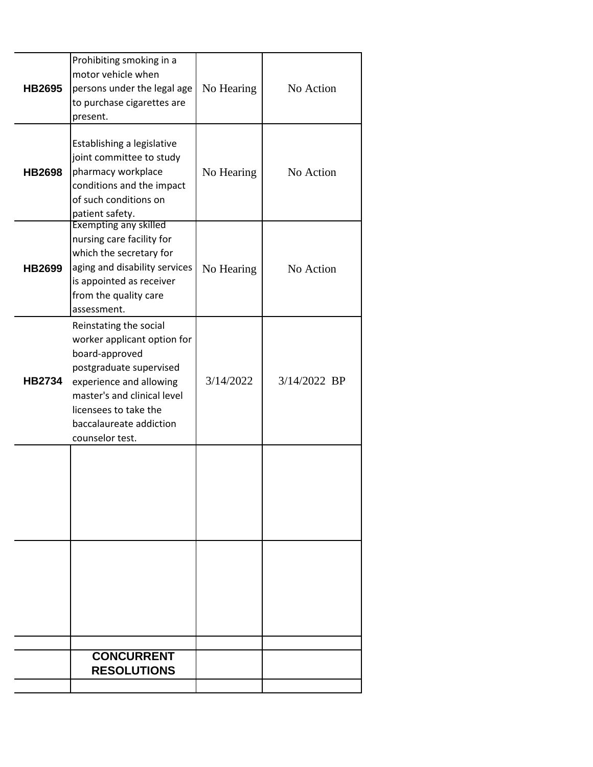| <b>HB2695</b> | Prohibiting smoking in a<br>motor vehicle when<br>persons under the legal age<br>to purchase cigarettes are<br>present.                                                                                                             | No Hearing | No Action    |
|---------------|-------------------------------------------------------------------------------------------------------------------------------------------------------------------------------------------------------------------------------------|------------|--------------|
| <b>HB2698</b> | Establishing a legislative<br>joint committee to study<br>pharmacy workplace<br>conditions and the impact<br>of such conditions on<br>patient safety.                                                                               | No Hearing | No Action    |
| <b>HB2699</b> | <b>Exempting any skilled</b><br>nursing care facility for<br>which the secretary for<br>aging and disability services<br>is appointed as receiver<br>from the quality care<br>assessment.                                           | No Hearing | No Action    |
| <b>HB2734</b> | Reinstating the social<br>worker applicant option for<br>board-approved<br>postgraduate supervised<br>experience and allowing<br>master's and clinical level<br>licensees to take the<br>baccalaureate addiction<br>counselor test. | 3/14/2022  | 3/14/2022 BP |
|               |                                                                                                                                                                                                                                     |            |              |
|               |                                                                                                                                                                                                                                     |            |              |
|               | <b>CONCURRENT</b><br><b>RESOLUTIONS</b>                                                                                                                                                                                             |            |              |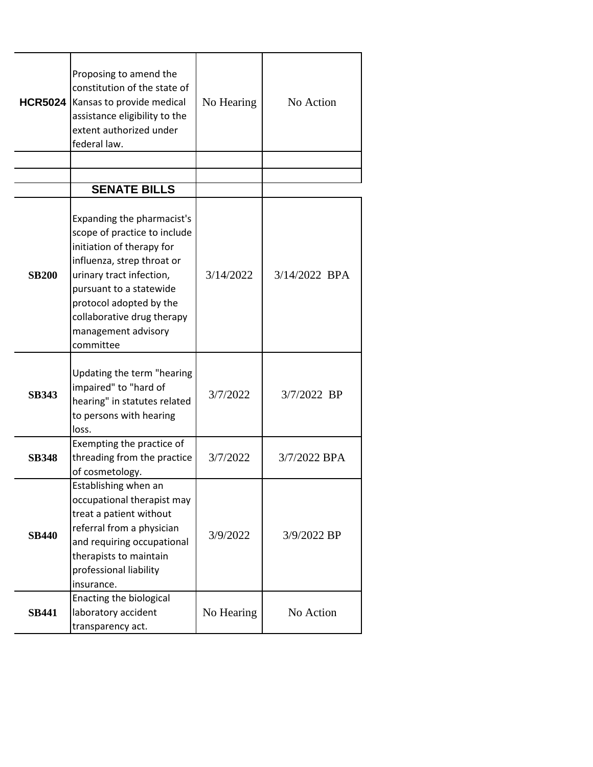| <b>HCR5024</b> | Proposing to amend the<br>constitution of the state of<br>Kansas to provide medical<br>assistance eligibility to the<br>extent authorized under<br>federal law.                                                                                                           | No Hearing | No Action     |
|----------------|---------------------------------------------------------------------------------------------------------------------------------------------------------------------------------------------------------------------------------------------------------------------------|------------|---------------|
|                | <b>SENATE BILLS</b>                                                                                                                                                                                                                                                       |            |               |
|                |                                                                                                                                                                                                                                                                           |            |               |
| <b>SB200</b>   | Expanding the pharmacist's<br>scope of practice to include<br>initiation of therapy for<br>influenza, strep throat or<br>urinary tract infection,<br>pursuant to a statewide<br>protocol adopted by the<br>collaborative drug therapy<br>management advisory<br>committee | 3/14/2022  | 3/14/2022 BPA |
| <b>SB343</b>   | Updating the term "hearing<br>impaired" to "hard of<br>hearing" in statutes related<br>to persons with hearing<br>loss.                                                                                                                                                   | 3/7/2022   | 3/7/2022 BP   |
| <b>SB348</b>   | Exempting the practice of<br>threading from the practice<br>of cosmetology.                                                                                                                                                                                               | 3/7/2022   | 3/7/2022 BPA  |
| <b>SB440</b>   | Establishing when an<br>occupational therapist may<br>treat a patient without<br>referral from a physician<br>and requiring occupational<br>therapists to maintain<br>professional liability<br>insurance.                                                                | 3/9/2022   | 3/9/2022 BP   |
| <b>SB441</b>   | Enacting the biological<br>laboratory accident<br>transparency act.                                                                                                                                                                                                       | No Hearing | No Action     |